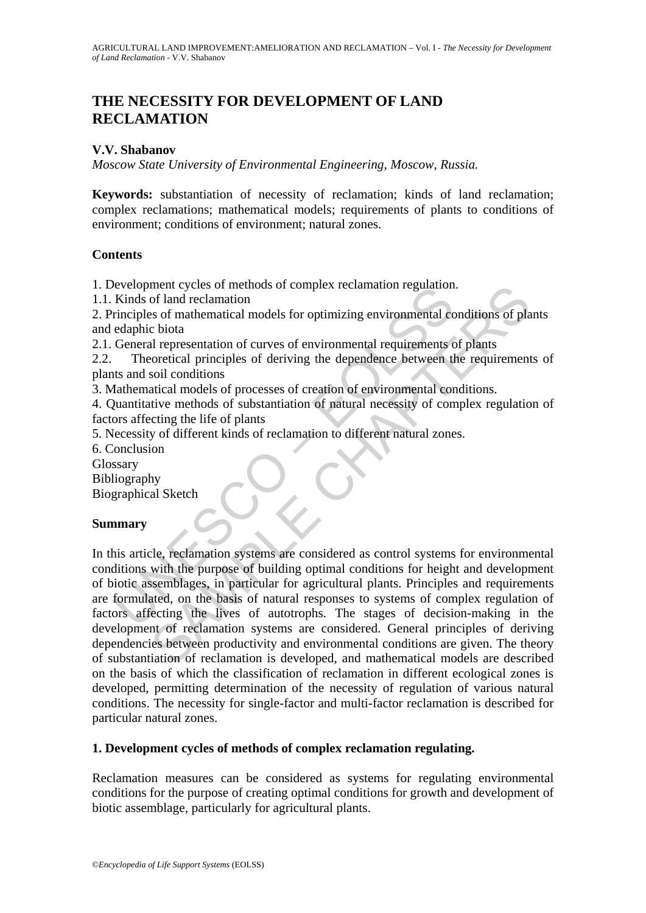# **THE NECESSITY FOR DEVELOPMENT OF LAND RECLAMATION**

## **V.V. Shabanov**

*Moscow State University of Environmental Engineering, Moscow, Russia.* 

**Keywords:** substantiation of necessity of reclamation; kinds of land reclamation; complex reclamations; mathematical models; requirements of plants to conditions of environment; conditions of environment; natural zones.

### **Contents**

1. Development cycles of methods of complex reclamation regulation.

1.1. Kinds of land reclamation

2. Principles of mathematical models for optimizing environmental conditions of plants and edaphic biota

2.1. General representation of curves of environmental requirements of plants

2.2. Theoretical principles of deriving the dependence between the requirements of plants and soil conditions

3. Mathematical models of processes of creation of environmental conditions.

4. Quantitative methods of substantiation of natural necessity of complex regulation of factors affecting the life of plants

5. Necessity of different kinds of reclamation to different natural zones.

6. Conclusion

Glossary

Bibliography

Biographical Sketch

# **Summary**

Evelopment cycles on methods of complex rectamiation regulation<br>
Kinds of land reclamation<br>
rinciples of mathematical models for optimizing environmental co<br>
edaphic biota<br>
General representation of curves of environmental ment cycles or mentods of complex reciamation regulation.<br>The discussion metallal representation of curves of mathematical models for optimizing environmental conditions of plants<br>are broad and representation of curves of In this article, reclamation systems are considered as control systems for environmental conditions with the purpose of building optimal conditions for height and development of biotic assemblages, in particular for agricultural plants. Principles and requirements are formulated, on the basis of natural responses to systems of complex regulation of factors affecting the lives of autotrophs. The stages of decision-making in the development of reclamation systems are considered. General principles of deriving dependencies between productivity and environmental conditions are given. The theory of substantiation of reclamation is developed, and mathematical models are described on the basis of which the classification of reclamation in different ecological zones is developed, permitting determination of the necessity of regulation of various natural conditions. The necessity for single-factor and multi-factor reclamation is described for particular natural zones.

### **1. Development cycles of methods of complex reclamation regulating.**

Reclamation measures can be considered as systems for regulating environmental conditions for the purpose of creating optimal conditions for growth and development of biotic assemblage, particularly for agricultural plants.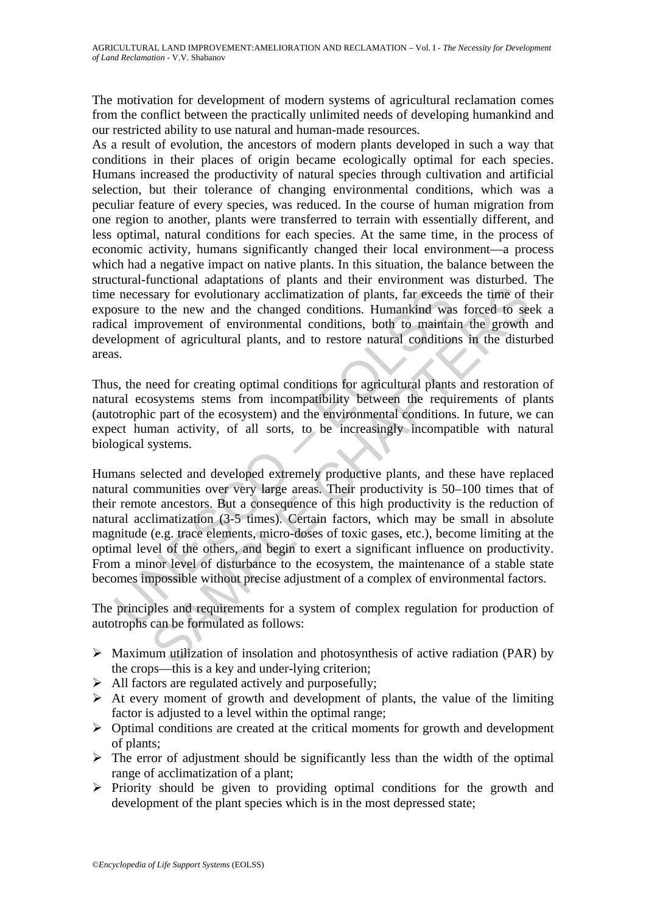The motivation for development of modern systems of agricultural reclamation comes from the conflict between the practically unlimited needs of developing humankind and our restricted ability to use natural and human-made resources.

As a result of evolution, the ancestors of modern plants developed in such a way that conditions in their places of origin became ecologically optimal for each species. Humans increased the productivity of natural species through cultivation and artificial selection, but their tolerance of changing environmental conditions, which was a peculiar feature of every species, was reduced. In the course of human migration from one region to another, plants were transferred to terrain with essentially different, and less optimal, natural conditions for each species. At the same time, in the process of economic activity, humans significantly changed their local environment—a process which had a negative impact on native plants. In this situation, the balance between the structural-functional adaptations of plants and their environment was disturbed. The time necessary for evolutionary acclimatization of plants, far exceeds the time of their exposure to the new and the changed conditions. Humankind was forced to seek a radical improvement of environmental conditions, both to maintain the growth and development of agricultural plants, and to restore natural conditions in the disturbed areas.

Thus, the need for creating optimal conditions for agricultural plants and restoration of natural ecosystems stems from incompatibility between the requirements of plants (autotrophic part of the ecosystem) and the environmental conditions. In future, we can expect human activity, of all sorts, to be increasingly incompatible with natural biological systems.

encessary for evolutionary acclimatization of plants, far exceed<br>osure to the new and the changed conditions. Humankind was<br>cal improvement of environmental conditions, both to maintail<br>elopment of agricultural plants, and sary for evolutionary acclimatization of plants, far exceeds the time of the new and the changed conditions. Humankind was forced to see provement of environmental conditions, both to maintain the growth of agricultural pl Humans selected and developed extremely productive plants, and these have replaced natural communities over very large areas. Their productivity is 50–100 times that of their remote ancestors. But a consequence of this high productivity is the reduction of natural acclimatization (3-5 times). Certain factors, which may be small in absolute magnitude (e.g. trace elements, micro-doses of toxic gases, etc.), become limiting at the optimal level of the others, and begin to exert a significant influence on productivity. From a minor level of disturbance to the ecosystem, the maintenance of a stable state becomes impossible without precise adjustment of a complex of environmental factors.

The principles and requirements for a system of complex regulation for production of autotrophs can be formulated as follows:

- $\triangleright$  Maximum utilization of insolation and photosynthesis of active radiation (PAR) by the crops—this is a key and under-lying criterion;
- $\triangleright$  All factors are regulated actively and purposefully;
- $\triangleright$  At every moment of growth and development of plants, the value of the limiting factor is adjusted to a level within the optimal range;
- $\triangleright$  Optimal conditions are created at the critical moments for growth and development of plants;
- $\triangleright$  The error of adjustment should be significantly less than the width of the optimal range of acclimatization of a plant;
- $\triangleright$  Priority should be given to providing optimal conditions for the growth and development of the plant species which is in the most depressed state;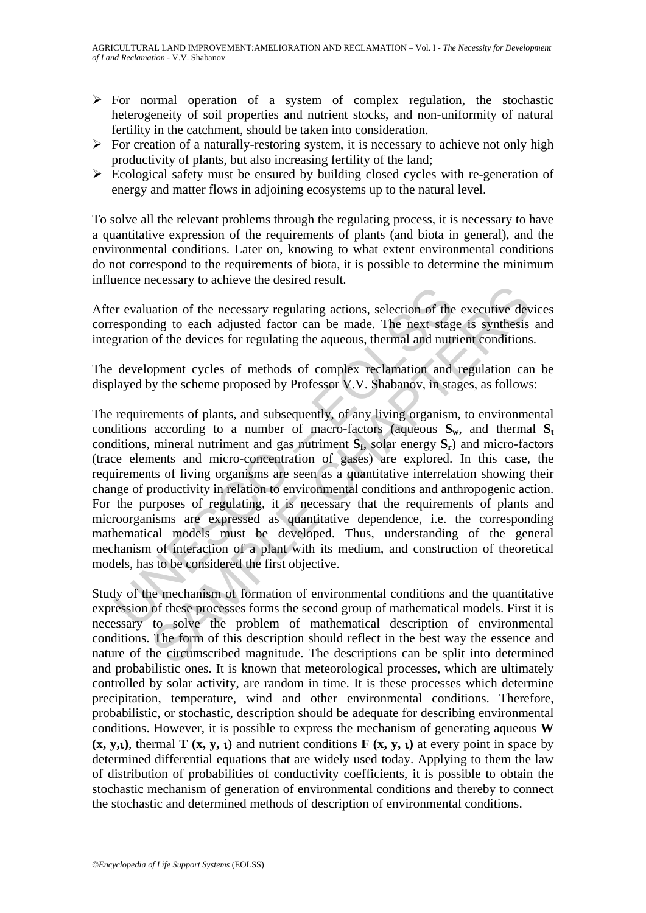- $\triangleright$  For normal operation of a system of complex regulation, the stochastic heterogeneity of soil properties and nutrient stocks, and non-uniformity of natural fertility in the catchment, should be taken into consideration.
- $\triangleright$  For creation of a naturally-restoring system, it is necessary to achieve not only high productivity of plants, but also increasing fertility of the land;
- $\triangleright$  Ecological safety must be ensured by building closed cycles with re-generation of energy and matter flows in adjoining ecosystems up to the natural level.

To solve all the relevant problems through the regulating process, it is necessary to have a quantitative expression of the requirements of plants (and biota in general), and the environmental conditions. Later on, knowing to what extent environmental conditions do not correspond to the requirements of biota, it is possible to determine the minimum influence necessary to achieve the desired result.

After evaluation of the necessary regulating actions, selection of the executive devices corresponding to each adjusted factor can be made. The next stage is synthesis and integration of the devices for regulating the aqueous, thermal and nutrient conditions.

The development cycles of methods of complex reclamation and regulation can be displayed by the scheme proposed by Professor V.V. Shabanov, in stages, as follows:

er evaluation of the necessary regulating actions, selection of the<br>esponding to each adjusted factor can be made. The next stag<br>gration of the devices for regulating the aqueous, thermal and nutr<br>development cycles of met **Example 18 and the metallical state and the executive description** of the executive design to each adjusted factor can be made. The next stage is synthesis of the devices for regulating the aqueous, thermal and nutrient c The requirements of plants, and subsequently, of any living organism, to environmental conditions according to a number of macro-factors (aqueous  $S_w$ , and thermal  $S_t$ conditions, mineral nutriment and gas nutriment  $S_f$ , solar energy  $S_f$ ) and micro-factors (trace elements and micro-concentration of gases) are explored. In this case, the requirements of living organisms are seen as a quantitative interrelation showing their change of productivity in relation to environmental conditions and anthropogenic action. For the purposes of regulating, it is necessary that the requirements of plants and microorganisms are expressed as quantitative dependence, i.e. the corresponding mathematical models must be developed. Thus, understanding of the general mechanism of interaction of a plant with its medium, and construction of theoretical models, has to be considered the first objective.

Study of the mechanism of formation of environmental conditions and the quantitative expression of these processes forms the second group of mathematical models. First it is necessary to solve the problem of mathematical description of environmental conditions. The form of this description should reflect in the best way the essence and nature of the circumscribed magnitude. The descriptions can be split into determined and probabilistic ones. It is known that meteorological processes, which are ultimately controlled by solar activity, are random in time. It is these processes which determine precipitation, temperature, wind and other environmental conditions. Therefore, probabilistic, or stochastic, description should be adequate for describing environmental conditions. However, it is possible to express the mechanism of generating aqueous **W (x, y,**ι**)**, thermal **T (x, y,** ι**)** and nutrient conditions **F (x, y,** ι**)** at every point in space by determined differential equations that are widely used today. Applying to them the law of distribution of probabilities of conductivity coefficients, it is possible to obtain the stochastic mechanism of generation of environmental conditions and thereby to connect the stochastic and determined methods of description of environmental conditions.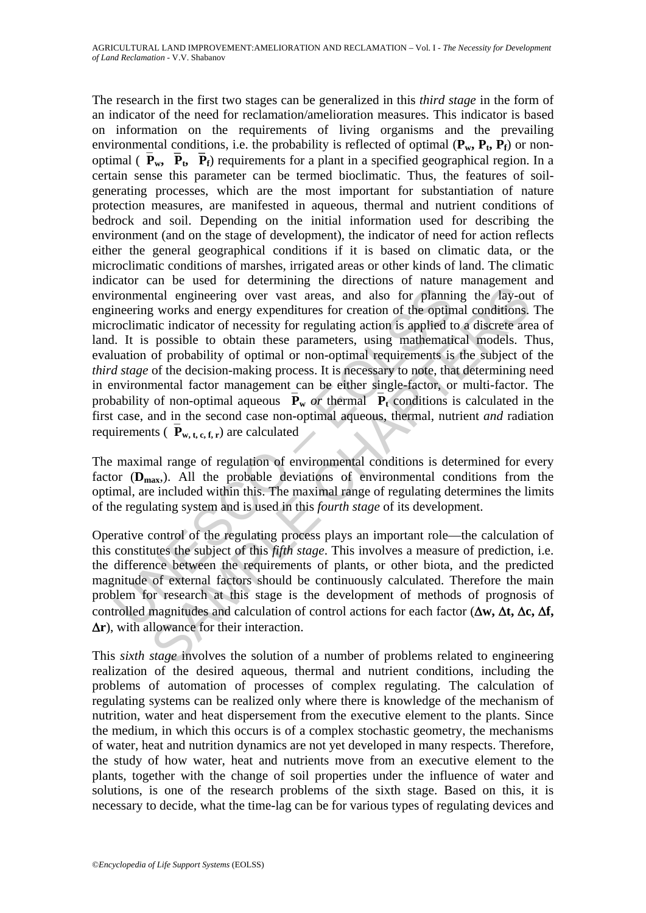ironmental engineering over vast areas, and also for plannineering works and energy expenditures for creation of the optim<br>roclimatic indicator of necessity for regulating action of the optim<br>roclimatic indicator of neces and is used to the<br>interminity over yast areas, and also for planning the lay-ou<br>notation indicator of necessity for regatating action is applied to a discrete are<br>possible to obtain these parameters, using mathematical m The research in the first two stages can be generalized in this *third stage* in the form of an indicator of the need for reclamation/amelioration measures. This indicator is based on information on the requirements of living organisms and the prevailing environmental conditions, i.e. the probability is reflected of optimal  $(\mathbf{P_w}, \mathbf{P_t}, \mathbf{P_f})$  or nonoptimal ( $\overline{P}_{w}$ ,  $\overline{P}_{t}$ ,  $\overline{P}_{f}$ ) requirements for a plant in a specified geographical region. In a certain sense this parameter can be termed bioclimatic. Thus, the features of soilgenerating processes, which are the most important for substantiation of nature protection measures, are manifested in aqueous, thermal and nutrient conditions of bedrock and soil. Depending on the initial information used for describing the environment (and on the stage of development), the indicator of need for action reflects either the general geographical conditions if it is based on climatic data, or the microclimatic conditions of marshes, irrigated areas or other kinds of land. The climatic indicator can be used for determining the directions of nature management and environmental engineering over vast areas, and also for planning the lay-out of engineering works and energy expenditures for creation of the optimal conditions. The microclimatic indicator of necessity for regulating action is applied to a discrete area of land. It is possible to obtain these parameters, using mathematical models. Thus, evaluation of probability of optimal or non-optimal requirements is the subject of the *third stage* of the decision-making process. It is necessary to note, that determining need in environmental factor management can be either single-factor, or multi-factor. The probability of non-optimal aqueous  $\overline{P}_w$  *or* thermal  $\overline{P}_t$  conditions is calculated in the first case, and in the second case non-optimal aqueous, thermal, nutrient *and* radiation requirements  $(\overline{\mathbf{P}}_{\mathbf{w},\mathbf{t},\mathbf{c},\mathbf{f},\mathbf{r}})$  are calculated

The maximal range of regulation of environmental conditions is determined for every factor  $(D_{\text{max}})$ . All the probable deviations of environmental conditions from the optimal, are included within this. The maximal range of regulating determines the limits of the regulating system and is used in this *fourth stage* of its development.

Operative control of the regulating process plays an important role—the calculation of this constitutes the subject of this *fifth stage*. This involves a measure of prediction, i.e. the difference between the requirements of plants, or other biota, and the predicted magnitude of external factors should be continuously calculated. Therefore the main problem for research at this stage is the development of methods of prognosis of controlled magnitudes and calculation of control actions for each factor (Δ**w,** Δ**t,** Δ**c,** Δ**f,**  Δ**r**), with allowance for their interaction.

This *sixth stage* involves the solution of a number of problems related to engineering realization of the desired aqueous, thermal and nutrient conditions, including the problems of automation of processes of complex regulating. The calculation of regulating systems can be realized only where there is knowledge of the mechanism of nutrition, water and heat dispersement from the executive element to the plants. Since the medium, in which this occurs is of a complex stochastic geometry, the mechanisms of water, heat and nutrition dynamics are not yet developed in many respects. Therefore, the study of how water, heat and nutrients move from an executive element to the plants, together with the change of soil properties under the influence of water and solutions, is one of the research problems of the sixth stage. Based on this, it is necessary to decide, what the time-lag can be for various types of regulating devices and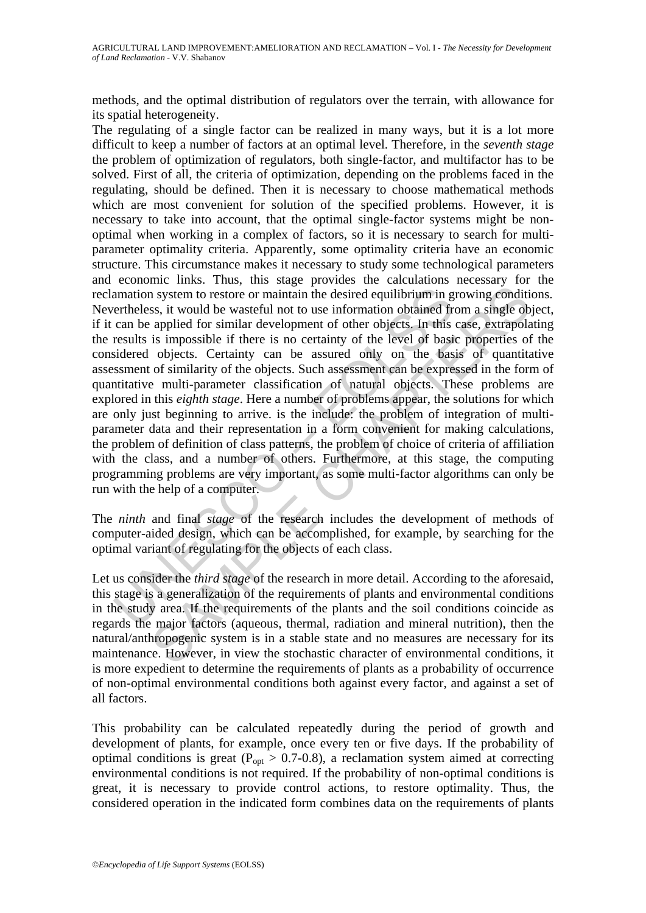methods, and the optimal distribution of regulators over the terrain, with allowance for its spatial heterogeneity.

amation system to restore or maintain the desired equilibrium in g<br>ertheless, it would be wasteful not to use information obtained fr<br>can be applied for similar development of other objects. In this<br>results is impossible i In system to restore or maintain the desired equilibrium in growing condities, it would be wasteful not to use information obtained from a single ob applied for sinilar development of other objects. In this case, extrapol The regulating of a single factor can be realized in many ways, but it is a lot more difficult to keep a number of factors at an optimal level. Therefore, in the *seventh stage* the problem of optimization of regulators, both single-factor, and multifactor has to be solved. First of all, the criteria of optimization, depending on the problems faced in the regulating, should be defined. Then it is necessary to choose mathematical methods which are most convenient for solution of the specified problems. However, it is necessary to take into account, that the optimal single-factor systems might be nonoptimal when working in a complex of factors, so it is necessary to search for multiparameter optimality criteria. Apparently, some optimality criteria have an economic structure. This circumstance makes it necessary to study some technological parameters and economic links. Thus, this stage provides the calculations necessary for the reclamation system to restore or maintain the desired equilibrium in growing conditions. Nevertheless, it would be wasteful not to use information obtained from a single object, if it can be applied for similar development of other objects. In this case, extrapolating the results is impossible if there is no certainty of the level of basic properties of the considered objects. Certainty can be assured only on the basis of quantitative assessment of similarity of the objects. Such assessment can be expressed in the form of quantitative multi-parameter classification of natural objects. These problems are explored in this *eighth stage*. Here a number of problems appear, the solutions for which are only just beginning to arrive. is the include: the problem of integration of multiparameter data and their representation in a form convenient for making calculations, the problem of definition of class patterns, the problem of choice of criteria of affiliation with the class, and a number of others. Furthermore, at this stage, the computing programming problems are very important, as some multi-factor algorithms can only be run with the help of a computer.

The *ninth* and final *stage* of the research includes the development of methods of computer-aided design, which can be accomplished, for example, by searching for the optimal variant of regulating for the objects of each class.

Let us consider the *third stage* of the research in more detail. According to the aforesaid, this stage is a generalization of the requirements of plants and environmental conditions in the study area. If the requirements of the plants and the soil conditions coincide as regards the major factors (aqueous, thermal, radiation and mineral nutrition), then the natural/anthropogenic system is in a stable state and no measures are necessary for its maintenance. However, in view the stochastic character of environmental conditions, it is more expedient to determine the requirements of plants as a probability of occurrence of non-optimal environmental conditions both against every factor, and against a set of all factors.

This probability can be calculated repeatedly during the period of growth and development of plants, for example, once every ten or five days. If the probability of optimal conditions is great ( $P_{opt} > 0.7$ -0.8), a reclamation system aimed at correcting environmental conditions is not required. If the probability of non-optimal conditions is great, it is necessary to provide control actions, to restore optimality. Thus, the considered operation in the indicated form combines data on the requirements of plants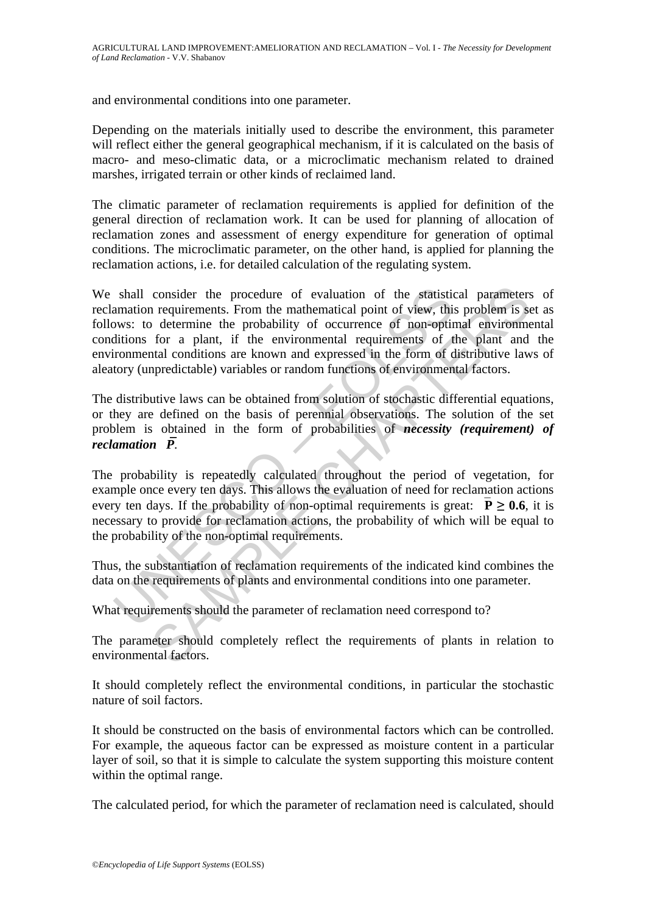and environmental conditions into one parameter.

Depending on the materials initially used to describe the environment, this parameter will reflect either the general geographical mechanism, if it is calculated on the basis of macro- and meso-climatic data, or a microclimatic mechanism related to drained marshes, irrigated terrain or other kinds of reclaimed land.

The climatic parameter of reclamation requirements is applied for definition of the general direction of reclamation work. It can be used for planning of allocation of reclamation zones and assessment of energy expenditure for generation of optimal conditions. The microclimatic parameter, on the other hand, is applied for planning the reclamation actions, i.e. for detailed calculation of the regulating system.

shall consider the procedure of evaluation of the statistic<br>amation requirements. From the mathematical point of view, this<br>ws: to determine the probability of occurrence of non-optit<br>ditions for a plant, if the environme consider the procedure of evaluation of the statistical parameters<br>requirements. From the mathematical point of view, this problem is so<br>determine the probability of occurrence of non-optimal environment<br>of a plant, if th We shall consider the procedure of evaluation of the statistical parameters of reclamation requirements. From the mathematical point of view, this problem is set as follows: to determine the probability of occurrence of non-optimal environmental conditions for a plant, if the environmental requirements of the plant and the environmental conditions are known and expressed in the form of distributive laws of aleatory (unpredictable) variables or random functions of environmental factors.

The distributive laws can be obtained from solution of stochastic differential equations, or they are defined on the basis of perennial observations. The solution of the set problem is obtained in the form of probabilities of *necessity (requirement) of reclamation*  $\overline{P}$ .

The probability is repeatedly calculated throughout the period of vegetation, for example once every ten days. This allows the evaluation of need for reclamation actions every ten days. If the probability of non-optimal requirements is great:  $\overline{P} \ge 0.6$ , it is necessary to provide for reclamation actions, the probability of which will be equal to the probability of the non-optimal requirements.

Thus, the substantiation of reclamation requirements of the indicated kind combines the data on the requirements of plants and environmental conditions into one parameter.

What requirements should the parameter of reclamation need correspond to?

The parameter should completely reflect the requirements of plants in relation to environmental factors.

It should completely reflect the environmental conditions, in particular the stochastic nature of soil factors.

It should be constructed on the basis of environmental factors which can be controlled. For example, the aqueous factor can be expressed as moisture content in a particular layer of soil, so that it is simple to calculate the system supporting this moisture content within the optimal range.

The calculated period, for which the parameter of reclamation need is calculated, should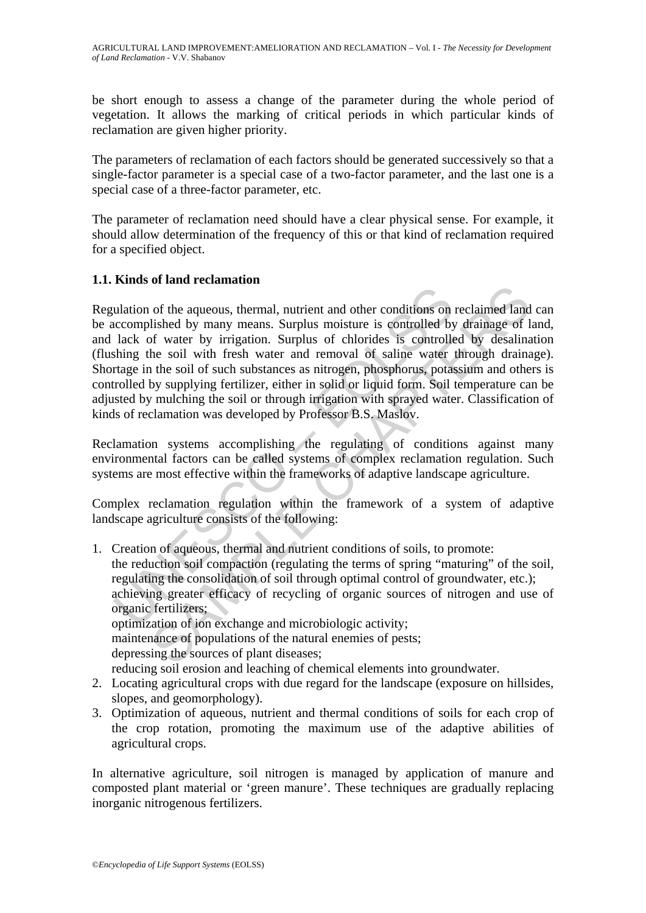be short enough to assess a change of the parameter during the whole period of vegetation. It allows the marking of critical periods in which particular kinds of reclamation are given higher priority.

The parameters of reclamation of each factors should be generated successively so that a single-factor parameter is a special case of a two-factor parameter, and the last one is a special case of a three-factor parameter, etc.

The parameter of reclamation need should have a clear physical sense. For example, it should allow determination of the frequency of this or that kind of reclamation required for a specified object.

# **1.1. Kinds of land reclamation**

ulation of the aqueous, thermal, nutrient and other conditions on<br>accomplished by many means. Surplus moisture is controlled by<br>lack of water by irrigation. Surplus of chlorides is controlled<br>bshing the soil with fresh wat Regulation of the aqueous, thermal, nutrient and other conditions on reclaimed land can be accomplished by many means. Surplus moisture is controlled by drainage of land, and lack of water by irrigation. Surplus of chlorides is controlled by desalination (flushing the soil with fresh water and removal of saline water through drainage). Shortage in the soil of such substances as nitrogen, phosphorus, potassium and others is controlled by supplying fertilizer, either in solid or liquid form. Soil temperature can be adjusted by mulching the soil or through irrigation with sprayed water. Classification of kinds of reclamation was developed by Professor B.S. Maslov.

Reclamation systems accomplishing the regulating of conditions against many environmental factors can be called systems of complex reclamation regulation. Such systems are most effective within the frameworks of adaptive landscape agriculture.

Complex reclamation regulation within the framework of a system of adaptive landscape agriculture consists of the following:

- of the aqueous, thermal, nutrient and other conditions on reclaimed land<br>is listed by many means. Surplus moisture is controlled by drainage of I<br>of water by irrigation. Surplus of chlorides is controlled by desalina<br>he so 1. Creation of aqueous, thermal and nutrient conditions of soils, to promote: the reduction soil compaction (regulating the terms of spring "maturing" of the soil, regulating the consolidation of soil through optimal control of groundwater, etc.); achieving greater efficacy of recycling of organic sources of nitrogen and use of organic fertilizers; optimization of ion exchange and microbiologic activity; maintenance of populations of the natural enemies of pests; depressing the sources of plant diseases; reducing soil erosion and leaching of chemical elements into groundwater.
- 2. Locating agricultural crops with due regard for the landscape (exposure on hillsides, slopes, and geomorphology).
- 3. Optimization of aqueous, nutrient and thermal conditions of soils for each crop of the crop rotation, promoting the maximum use of the adaptive abilities of agricultural crops.

In alternative agriculture, soil nitrogen is managed by application of manure and composted plant material or 'green manure'. These techniques are gradually replacing inorganic nitrogenous fertilizers.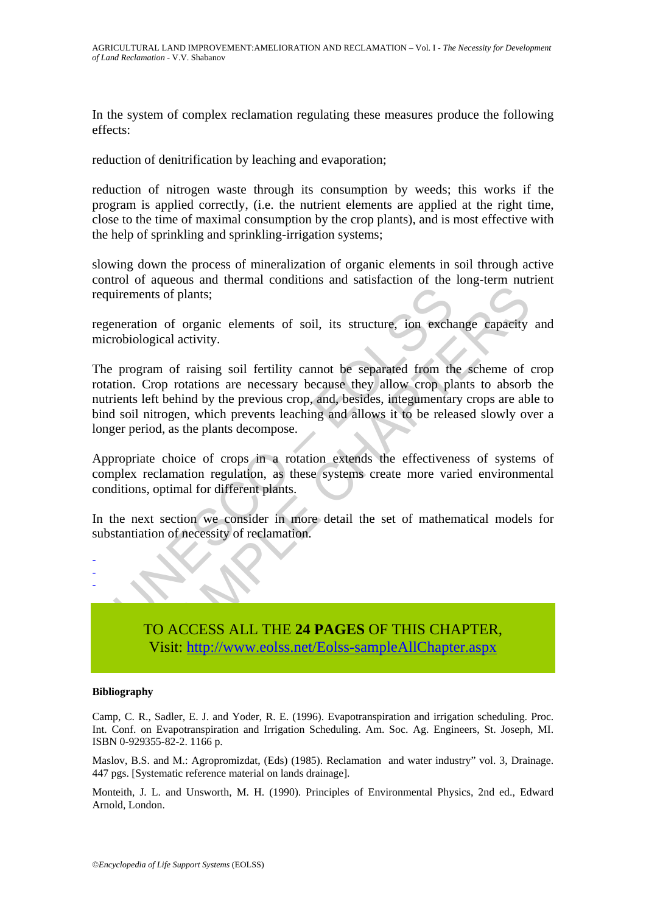In the system of complex reclamation regulating these measures produce the following effects:

reduction of denitrification by leaching and evaporation;

reduction of nitrogen waste through its consumption by weeds; this works if the program is applied correctly, (i.e. the nutrient elements are applied at the right time, close to the time of maximal consumption by the crop plants), and is most effective with the help of sprinkling and sprinkling-irrigation systems;

slowing down the process of mineralization of organic elements in soil through active control of aqueous and thermal conditions and satisfaction of the long-term nutrient requirements of plants;

regeneration of organic elements of soil, its structure, ion exchange capacity and microbiological activity.

irements of plants;<br>
internation of organic elements of soil, its structure, ion exchanged<br>
revealible controllocological activity.<br>
program of raising soil fertility cannot be separated from th<br>
tion. Crop rotations are n Its of plants;<br>and of organic elements of soil, its structure, ion exchange capacity<br>gical activity.<br>am of raising soil fertility cannot be separated from the scheme of<br>rop rotations are necessary because they allow crop p The program of raising soil fertility cannot be separated from the scheme of crop rotation. Crop rotations are necessary because they allow crop plants to absorb the nutrients left behind by the previous crop, and, besides, integumentary crops are able to bind soil nitrogen, which prevents leaching and allows it to be released slowly over a longer period, as the plants decompose.

Appropriate choice of crops in a rotation extends the effectiveness of systems of complex reclamation regulation, as these systems create more varied environmental conditions, optimal for different plants.

In the next section we consider in more detail the set of mathematical models for substantiation of necessity of reclamation.



-

TO ACCESS ALL THE **24 PAGES** OF THIS CHAPTER, Visit: http://www.eolss.net/Eolss-sampleAllChapter.aspx

#### **Bibliography**

Camp, C. R., Sadler, E. J. and Yoder, R. E. (1996). Evapotranspiration and irrigation scheduling. Proc. Int. Conf. on Evapotranspiration and Irrigation Scheduling. Am. Soc. Ag. Engineers, St. Joseph, MI. ISBN 0-929355-82-2. 1166 p.

Maslov, B.S. and М.: Agropromizdat, (Eds) (1985). Reclamation and water industry" vol. 3, Drainage. 447 pgs. [Systematic reference material on lands drainage].

Monteith, J. L. and Unsworth, M. H. (1990). Principles of Environmental Physics, 2nd ed., Edward Arnold, London.